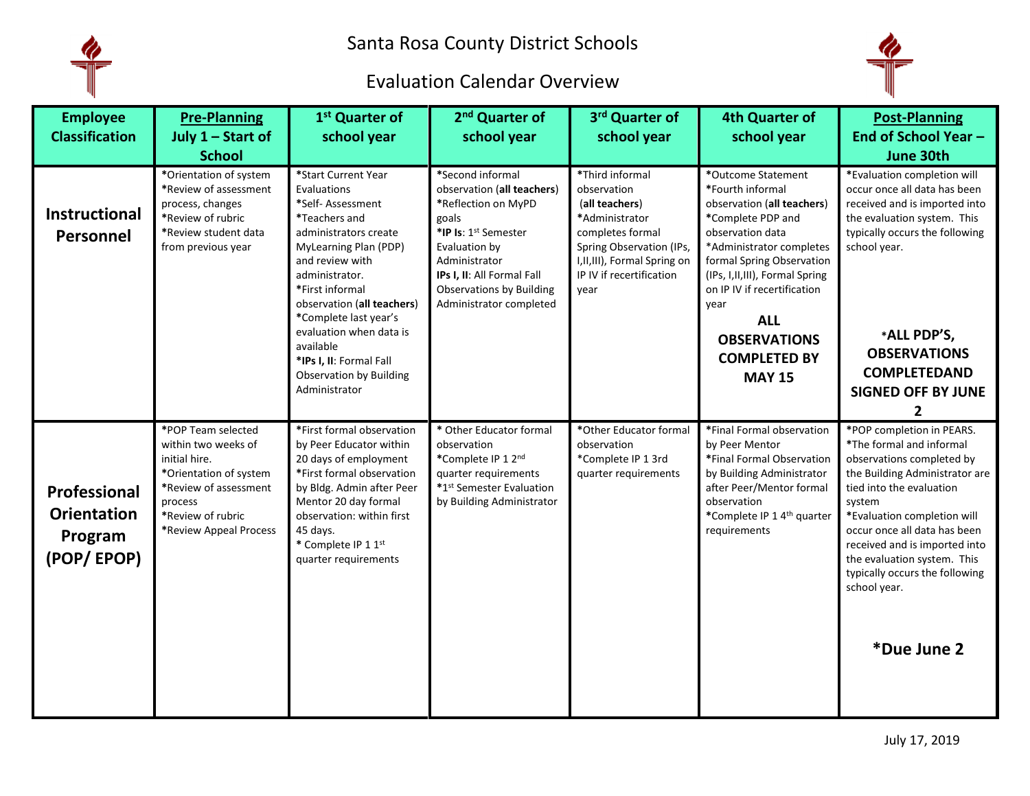

## Evaluation Calendar Overview



| <b>Employee</b><br><b>Classification</b>                    | <b>Pre-Planning</b><br>July 1 - Start of<br><b>School</b>                                                                                                               | 1 <sup>st</sup> Quarter of<br>school year                                                                                                                                                                                                                                                                                                                       | 2 <sup>nd</sup> Quarter of<br>school year                                                                                                                                                                                            | 3rd Quarter of<br>school year                                                                                                                                                           | <b>4th Quarter of</b><br>school year                                                                                                                                                                                                                                                                                           | <b>Post-Planning</b><br>End of School Year -<br>June 30th                                                                                                                                                                                                                                                                                                  |
|-------------------------------------------------------------|-------------------------------------------------------------------------------------------------------------------------------------------------------------------------|-----------------------------------------------------------------------------------------------------------------------------------------------------------------------------------------------------------------------------------------------------------------------------------------------------------------------------------------------------------------|--------------------------------------------------------------------------------------------------------------------------------------------------------------------------------------------------------------------------------------|-----------------------------------------------------------------------------------------------------------------------------------------------------------------------------------------|--------------------------------------------------------------------------------------------------------------------------------------------------------------------------------------------------------------------------------------------------------------------------------------------------------------------------------|------------------------------------------------------------------------------------------------------------------------------------------------------------------------------------------------------------------------------------------------------------------------------------------------------------------------------------------------------------|
| Instructional<br>Personnel                                  | *Orientation of system<br>*Review of assessment<br>process, changes<br>*Review of rubric<br>*Review student data<br>from previous year                                  | *Start Current Year<br>Evaluations<br>*Self- Assessment<br>*Teachers and<br>administrators create<br>MyLearning Plan (PDP)<br>and review with<br>administrator.<br>*First informal<br>observation (all teachers)<br>*Complete last year's<br>evaluation when data is<br>available<br>*IPs I, II: Formal Fall<br><b>Observation by Building</b><br>Administrator | *Second informal<br>observation (all teachers)<br>*Reflection on MyPD<br>goals<br>*IP Is: 1st Semester<br>Evaluation by<br>Administrator<br>IPs I, II: All Formal Fall<br><b>Observations by Building</b><br>Administrator completed | *Third informal<br>observation<br>(all teachers)<br>*Administrator<br>completes formal<br>Spring Observation (IPs,<br>I, II, III), Formal Spring on<br>IP IV if recertification<br>vear | *Outcome Statement<br>*Fourth informal<br>observation (all teachers)<br>*Complete PDP and<br>observation data<br>*Administrator completes<br>formal Spring Observation<br>(IPs, I, II, III), Formal Spring<br>on IP IV if recertification<br>year<br><b>ALL</b><br><b>OBSERVATIONS</b><br><b>COMPLETED BY</b><br><b>MAY 15</b> | *Evaluation completion will<br>occur once all data has been<br>received and is imported into<br>the evaluation system. This<br>typically occurs the following<br>school year.<br>*ALL PDP'S,<br><b>OBSERVATIONS</b><br><b>COMPLETEDAND</b><br><b>SIGNED OFF BY JUNE</b><br>2                                                                               |
| Professional<br><b>Orientation</b><br>Program<br>(POP/EPOP) | *POP Team selected<br>within two weeks of<br>initial hire.<br>*Orientation of system<br>*Review of assessment<br>process<br>*Review of rubric<br>*Review Appeal Process | *First formal observation<br>by Peer Educator within<br>20 days of employment<br>*First formal observation<br>by Bldg. Admin after Peer<br>Mentor 20 day formal<br>observation: within first<br>45 days.<br>* Complete IP 1 1st<br>quarter requirements                                                                                                         | * Other Educator formal<br>observation<br>*Complete IP 1 2nd<br>quarter requirements<br>*1st Semester Evaluation<br>by Building Administrator                                                                                        | *Other Educator formal<br>observation<br>*Complete IP 1 3rd<br>quarter requirements                                                                                                     | *Final Formal observation<br>by Peer Mentor<br>*Final Formal Observation<br>by Building Administrator<br>after Peer/Mentor formal<br>observation<br>*Complete IP 1 4th quarter<br>requirements                                                                                                                                 | *POP completion in PEARS.<br>*The formal and informal<br>observations completed by<br>the Building Administrator are<br>tied into the evaluation<br>system<br>*Evaluation completion will<br>occur once all data has been<br>received and is imported into<br>the evaluation system. This<br>typically occurs the following<br>school year.<br>*Due June 2 |